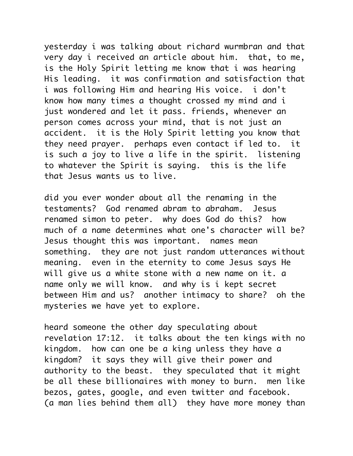yesterday i was talking about richard wurmbran and that very day i received an article about him. that, to me, is the Holy Spirit letting me know that i was hearing His leading. it was confirmation and satisfaction that i was following Him and hearing His voice. i don't know how many times a thought crossed my mind and i just wondered and let it pass. friends, whenever an person comes across your mind, that is not just an accident. it is the Holy Spirit letting you know that they need prayer. perhaps even contact if led to. it is such a joy to live a life in the spirit. listening to whatever the Spirit is saying. this is the life that Jesus wants us to live.

did you ever wonder about all the renaming in the testaments? God renamed abram to abraham. Jesus renamed simon to peter. why does God do this? how much of a name determines what one's character will be? Jesus thought this was important. names mean something. they are not just random utterances without meaning. even in the eternity to come Jesus says He will give us a white stone with a new name on it. a name only we will know. and why is i kept secret between Him and us? another intimacy to share? oh the mysteries we have yet to explore.

heard someone the other day speculating about revelation 17:12. it talks about the ten kings with no kingdom. how can one be a king unless they have a kingdom? it says they will give their power and authority to the beast. they speculated that it might be all these billionaires with money to burn. men like bezos, gates, google, and even twitter and facebook. (a man lies behind them all) they have more money than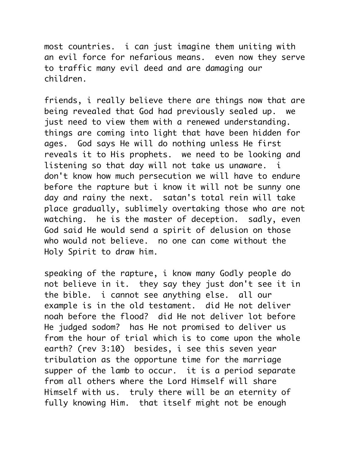most countries. i can just imagine them uniting with an evil force for nefarious means. even now they serve to traffic many evil deed and are damaging our children.

friends, i really believe there are things now that are being revealed that God had previously sealed up. we just need to view them with a renewed understanding. things are coming into light that have been hidden for ages. God says He will do nothing unless He first reveals it to His prophets. we need to be looking and listening so that day will not take us unaware. i don't know how much persecution we will have to endure before the rapture but i know it will not be sunny one day and rainy the next. satan's total rein will take place gradually, sublimely overtaking those who are not watching. he is the master of deception. sadly, even God said He would send a spirit of delusion on those who would not believe. no one can come without the Holy Spirit to draw him.

speaking of the rapture, i know many Godly people do not believe in it. they say they just don't see it in the bible. i cannot see anything else. all our example is in the old testament. did He not deliver noah before the flood? did He not deliver lot before He judged sodom? has He not promised to deliver us from the hour of trial which is to come upon the whole earth? (rev 3:10) besides, i see this seven year tribulation as the opportune time for the marriage supper of the lamb to occur. it is a period separate from all others where the Lord Himself will share Himself with us. truly there will be an eternity of fully knowing Him. that itself might not be enough